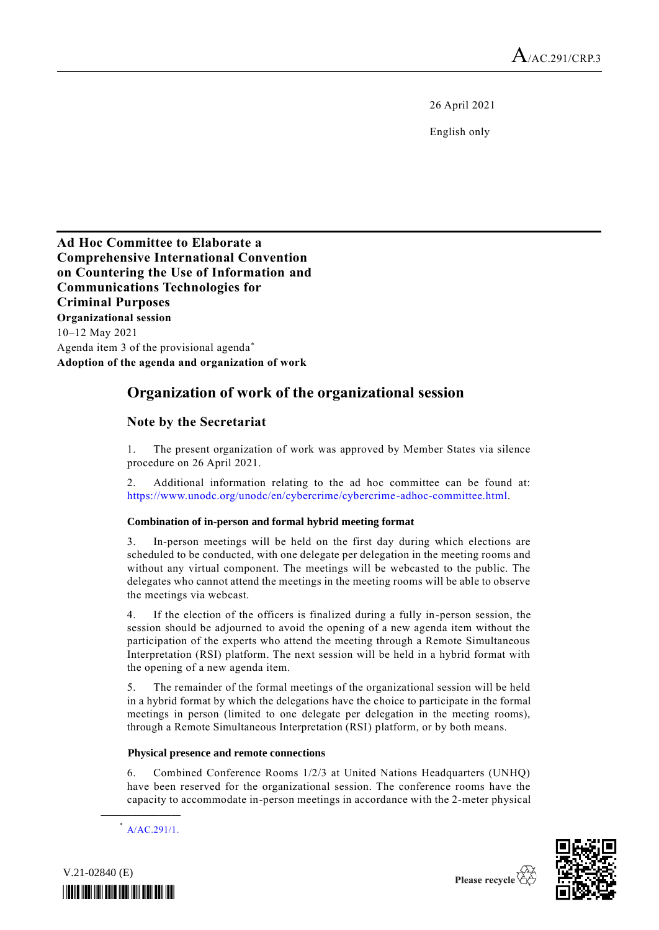26 April 2021

English only

## **Ad Hoc Committee to Elaborate a Comprehensive International Convention on Countering the Use of Information and Communications Technologies for Criminal Purposes Organizational session** 10–12 May 2021 Agenda item 3 of the provisional agenda \* **Adoption of the agenda and organization of work**

## **Organization of work of the organizational session**

## **Note by the Secretariat**

1. The present organization of work was approved by Member States via silence procedure on 26 April 2021.

2. Additional information relating to the ad hoc committee can be found at: [https://www.unodc.org/unodc/en/cybercrime/cybercrime](https://www.unodc.org/unodc/en/cybercrime/cybercrime-adhoc-committee.html) -adhoc-committee.html.

### **Combination of in-person and formal hybrid meeting format**

3. In-person meetings will be held on the first day during which elections are scheduled to be conducted, with one delegate per delegation in the meeting rooms and without any virtual component. The meetings will be webcasted to the public. The delegates who cannot attend the meetings in the meeting rooms will be able to observe the meetings via webcast.

4. If the election of the officers is finalized during a fully in-person session, the session should be adjourned to avoid the opening of a new agenda item without the participation of the experts who attend the meeting through a Remote Simultaneous Interpretation (RSI) platform. The next session will be held in a hybrid format with the opening of a new agenda item.

5. The remainder of the formal meetings of the organizational session will be held in a hybrid format by which the delegations have the choice to participate in the formal meetings in person (limited to one delegate per delegation in the meeting rooms), through a Remote Simultaneous Interpretation (RSI) platform, or by both means.

#### **Physical presence and remote connections**

6. Combined Conference Rooms 1/2/3 at United Nations Headquarters (UNHQ) have been reserved for the organizational session. The conference rooms have the capacity to accommodate in-person meetings in accordance with the 2-meter physical

\* [A/AC.291/1.](https://undocs.org/A/AC.291/1)

**\_\_\_\_\_\_\_\_\_\_\_\_\_\_\_\_\_\_**

V.21-02840 (E)

*\*2102840\**

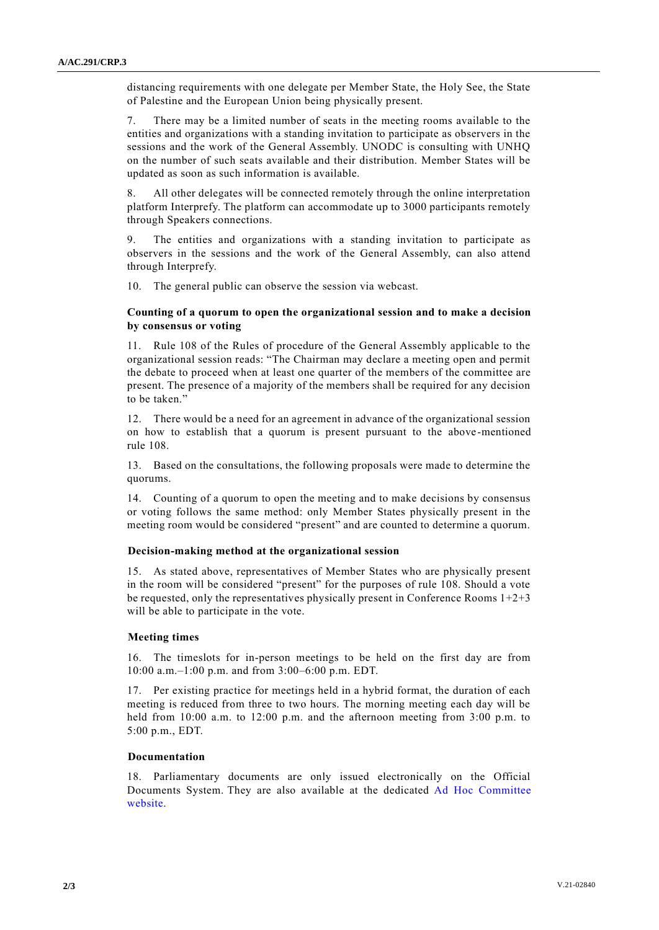distancing requirements with one delegate per Member State, the Holy See, the State of Palestine and the European Union being physically present.

7. There may be a limited number of seats in the meeting rooms available to the entities and organizations with a standing invitation to participate as observers in the sessions and the work of the General Assembly. UNODC is consulting with UNHQ on the number of such seats available and their distribution. Member States will be updated as soon as such information is available.

8. All other delegates will be connected remotely through the online interpretation platform Interprefy. The platform can accommodate up to 3000 participants remotely through Speakers connections.

9. The entities and organizations with a standing invitation to participate as observers in the sessions and the work of the General Assembly, can also attend through Interprefy.

10. The general public can observe the session via webcast.

#### **Counting of a quorum to open the organizational session and to make a decision by consensus or voting**

11. Rule 108 of the Rules of procedure of the General Assembly applicable to the organizational session reads: "The Chairman may declare a meeting open and permit the debate to proceed when at least one quarter of the members of the committee are present. The presence of a majority of the members shall be required for any decision to be taken."

12. There would be a need for an agreement in advance of the organizational session on how to establish that a quorum is present pursuant to the above -mentioned rule 108.

13. Based on the consultations, the following proposals were made to determine the quorums.

14. Counting of a quorum to open the meeting and to make decisions by consensus or voting follows the same method: only Member States physically present in the meeting room would be considered "present" and are counted to determine a quorum.

#### **Decision-making method at the organizational session**

15. As stated above, representatives of Member States who are physically present in the room will be considered "present" for the purposes of rule 108. Should a vote be requested, only the representatives physically present in Conference Rooms  $1+2+3$ will be able to participate in the vote.

#### **Meeting times**

16. The timeslots for in-person meetings to be held on the first day are from 10:00 a.m.–1:00 p.m. and from 3:00–6:00 p.m. EDT.

17. Per existing practice for meetings held in a hybrid format, the duration of each meeting is reduced from three to two hours. The morning meeting each day will be held from 10:00 a.m. to 12:00 p.m. and the afternoon meeting from 3:00 p.m. to 5:00 p.m., EDT.

#### **Documentation**

18. Parliamentary documents are only issued electronically on the Official Documents System. They are also available at the dedicated [Ad Hoc Committee](https://www.unodc.org/unodc/en/cybercrime/cybercrime-adhoc-committee.html) [website.](https://www.unodc.org/unodc/en/cybercrime/cybercrime-adhoc-committee.html)